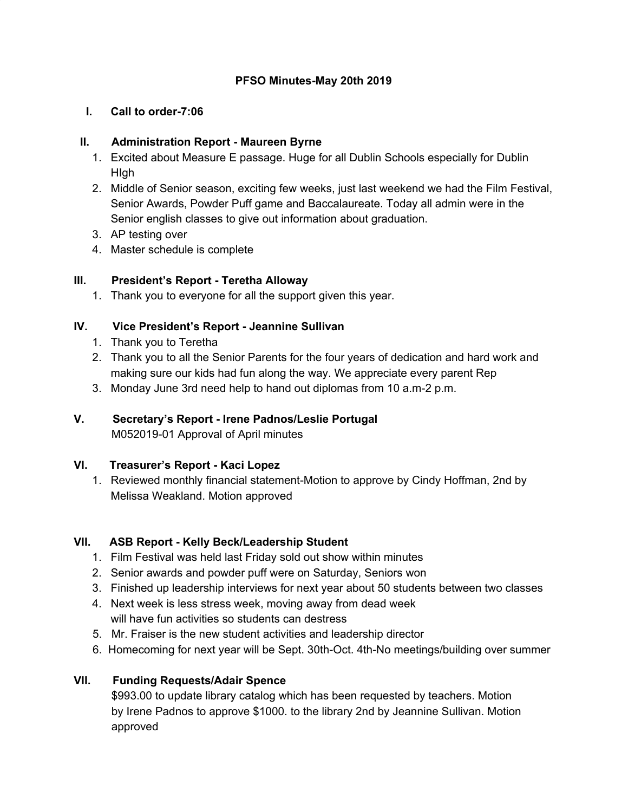## **PFSO Minutes-May 20th 2019**

#### **I. Call to order-7:06**

#### **II. Administration Report - Maureen Byrne**

- 1. Excited about Measure E passage. Huge for all Dublin Schools especially for Dublin HIgh
- 2. Middle of Senior season, exciting few weeks, just last weekend we had the Film Festival, Senior Awards, Powder Puff game and Baccalaureate. Today all admin were in the Senior english classes to give out information about graduation.
- 3. AP testing over
- 4. Master schedule is complete

#### **III. President's Report - Teretha Alloway**

1. Thank you to everyone for all the support given this year.

## **IV. Vice President's Report - Jeannine Sullivan**

- 1. Thank you to Teretha
- 2. Thank you to all the Senior Parents for the four years of dedication and hard work and making sure our kids had fun along the way. We appreciate every parent Rep
- 3. Monday June 3rd need help to hand out diplomas from 10 a.m-2 p.m.

# **V. Secretary's Report - Irene Padnos/Leslie Portugal**

M052019-01 Approval of April minutes

## **VI. Treasurer's Report - Kaci Lopez**

1. Reviewed monthly financial statement-Motion to approve by Cindy Hoffman, 2nd by Melissa Weakland. Motion approved

## **VII. ASB Report - Kelly Beck/Leadership Student**

- 1. Film Festival was held last Friday sold out show within minutes
- 2. Senior awards and powder puff were on Saturday, Seniors won
- 3. Finished up leadership interviews for next year about 50 students between two classes
- 4. Next week is less stress week, moving away from dead week will have fun activities so students can destress
- 5. Mr. Fraiser is the new student activities and leadership director
- 6. Homecoming for next year will be Sept. 30th-Oct. 4th-No meetings/building over summer

## **VII. Funding Requests/Adair Spence**

\$993.00 to update library catalog which has been requested by teachers. Motion by Irene Padnos to approve \$1000. to the library 2nd by Jeannine Sullivan. Motion approved